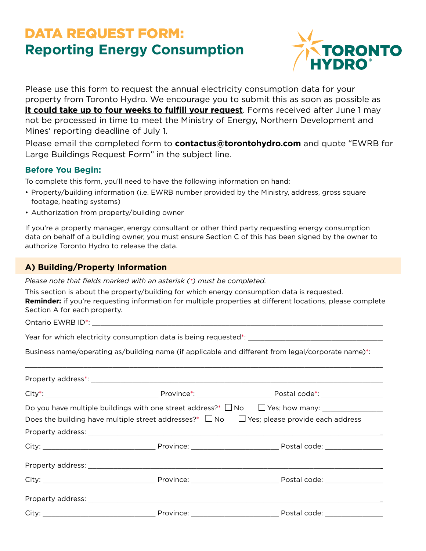# DATA REQUEST FORM: **Reporting Energy Consumption**



Please use this form to request the annual electricity consumption data for your property from Toronto Hydro. We encourage you to submit this as soon as possible as **it could take up to four weeks to fulfill your request**. Forms received after June 1 may not be processed in time to meet the Ministry of Energy, Northern Development and Mines' reporting deadline of July 1.

Please email the completed form to **contactus@torontohydro.com** and quote "EWRB for Large Buildings Request Form" in the subject line.

## **Before You Begin:**

To complete this form, you'll need to have the following information on hand:

- Property/building information (i.e. EWRB number provided by the Ministry, address, gross square footage, heating systems)
- Authorization from property/building owner

If you're a property manager, energy consultant or other third party requesting energy consumption data on behalf of a building owner, you must ensure Section C of this has been signed by the owner to authorize Toronto Hydro to release the data.

## **A) Building/Property Information**

*Please note that fields marked with an asterisk (\*) must be completed.*

This section is about the property/building for which energy consumption data is requested. **Reminder:** if you're requesting information for multiple properties at different locations, please complete Section A for each property.

Ontario EWRB ID<sup>\*</sup>:

Year for which electricity consumption data is being requested\*:

Business name/operating as/building name (if applicable and different from legal/corporate name)\*:

\_\_\_\_\_\_\_\_\_\_\_\_\_\_\_\_\_\_\_\_\_\_\_\_\_\_\_\_\_\_\_\_\_\_\_\_\_\_\_\_\_\_\_\_\_\_\_\_\_\_\_\_\_\_\_\_\_\_\_\_\_\_\_\_\_\_\_\_\_\_\_\_\_\_\_\_\_\_\_\_\_\_\_\_\_\_\_\_

| Does the building have multiple street addresses?* $\Box$ No $\Box$ Yes; please provide each address |  |  |  |  |  |  |
|------------------------------------------------------------------------------------------------------|--|--|--|--|--|--|
|                                                                                                      |  |  |  |  |  |  |
|                                                                                                      |  |  |  |  |  |  |
|                                                                                                      |  |  |  |  |  |  |
|                                                                                                      |  |  |  |  |  |  |
|                                                                                                      |  |  |  |  |  |  |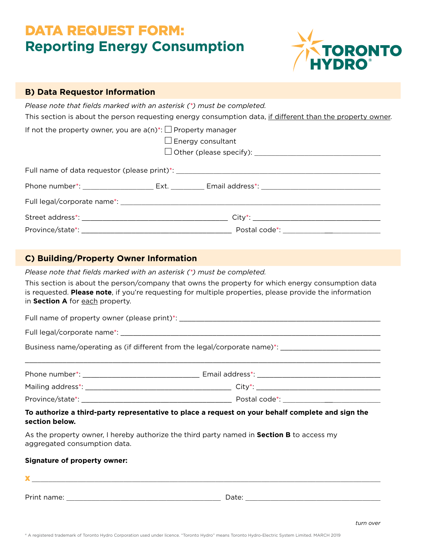# DATA REQUEST FORM: **Reporting Energy Consumption**



| <b>B) Data Requestor Information</b>                                             |                          |                                                                                                                                                                                                                                |  |  |
|----------------------------------------------------------------------------------|--------------------------|--------------------------------------------------------------------------------------------------------------------------------------------------------------------------------------------------------------------------------|--|--|
| Please note that fields marked with an asterisk (*) must be completed.           |                          | This section is about the person requesting energy consumption data, if different than the property owner.                                                                                                                     |  |  |
| If not the property owner, you are $a(n)^*$ : $\Box$ Property manager            | $\Box$ Energy consultant |                                                                                                                                                                                                                                |  |  |
| Full name of data requestor (please print)*: ___________________________________ |                          |                                                                                                                                                                                                                                |  |  |
|                                                                                  |                          | Phone number*: _______________________Ext. __________ Email address*: ______________________________                                                                                                                           |  |  |
|                                                                                  |                          |                                                                                                                                                                                                                                |  |  |
|                                                                                  |                          |                                                                                                                                                                                                                                |  |  |
|                                                                                  |                          | Province/state*: example and the set of the set of the set of the set of the set of the set of the set of the set of the set of the set of the set of the set of the set of the set of the set of the set of the set of the se |  |  |

## **C) Building/Property Owner Information**

*Please note that fields marked with an asterisk (\*) must be completed.*

This section is about the person/company that owns the property for which energy consumption data is requested. **Please note**, if you're requesting for multiple properties, please provide the information in **Section A** for each property.

Full name of property owner (please print)\*: \_\_\_\_\_\_\_\_\_\_\_\_\_\_\_\_\_\_\_\_\_\_\_\_\_\_\_\_\_\_\_\_\_\_\_

Full legal/corporate name\*: \_\_\_\_\_\_\_\_\_\_\_\_\_\_\_\_\_\_\_\_\_\_\_\_\_\_\_\_\_\_\_\_\_\_\_\_\_\_\_\_\_\_\_\_\_\_\_\_\_\_\_\_\_\_\_\_\_\_\_\_\_\_\_\_\_

Business name/operating as (if different from the legal/corporate name)\*: \_\_\_\_\_\_\_\_\_\_\_\_\_\_\_\_\_\_\_\_\_\_\_\_\_

| Phone number*:    | Email address*: |  |
|-------------------|-----------------|--|
| Mailing address*: | City*:          |  |
| Province/state*:  | Postal code*    |  |

\_\_\_\_\_\_\_\_\_\_\_\_\_\_\_\_\_\_\_\_\_\_\_\_\_\_\_\_\_\_\_\_\_\_\_\_\_\_\_\_\_\_\_\_\_\_\_\_\_\_\_\_\_\_\_\_\_\_\_\_\_\_\_\_\_\_\_\_\_\_\_\_\_\_\_\_\_\_\_\_\_\_\_\_\_\_\_

## **To authorize a third-party representative to place a request on your behalf complete and sign the section below.**

As the property owner, I hereby authorize the third party named in **Section B** to access my aggregated consumption data.

### **Signature of property owner:**

 $\mathbf x$  , and the set of the set of the set of the set of the set of the set of the set of the set of the set of the set of the set of the set of the set of the set of the set of the set of the set of the set of the set of Print name: \_\_\_\_\_\_\_\_\_\_\_\_\_\_\_\_\_\_\_\_\_\_\_\_\_\_\_\_\_\_\_\_\_\_\_\_\_ Date: \_\_\_\_\_\_\_\_\_\_\_\_\_\_\_\_\_\_\_\_\_\_\_\_\_\_\_\_\_\_\_\_\_\_\_